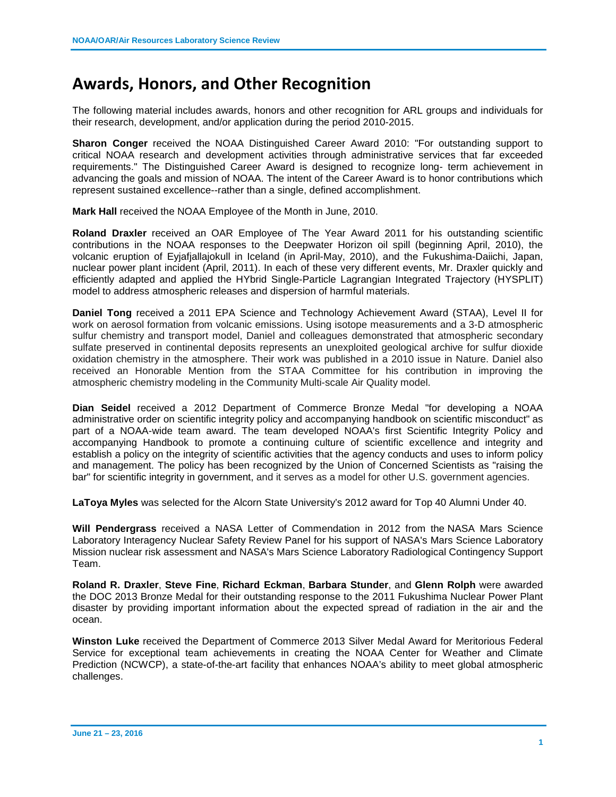## **Awards, Honors, and Other Recognition**

The following material includes awards, honors and other recognition for ARL groups and individuals for their research, development, and/or application during the period 2010-2015.

**Sharon Conger** received the NOAA Distinguished Career Award 2010: "For outstanding support to critical NOAA research and development activities through administrative services that far exceeded requirements." The Distinguished Career Award is designed to recognize long- term achievement in advancing the goals and mission of NOAA. The intent of the Career Award is to honor contributions which represent sustained excellence--rather than a single, defined accomplishment.

**Mark Hall** received the NOAA Employee of the Month in June, 2010.

**Roland Draxler** received an OAR Employee of The Year Award 2011 for his outstanding scientific contributions in the NOAA responses to the Deepwater Horizon oil spill (beginning April, 2010), the volcanic eruption of Eyjafjallajokull in Iceland (in April-May, 2010), and the Fukushima-Daiichi, Japan, nuclear power plant incident (April, 2011). In each of these very different events, Mr. Draxler quickly and efficiently adapted and applied the HYbrid Single-Particle Lagrangian Integrated Trajectory (HYSPLIT) model to address atmospheric releases and dispersion of harmful materials.

**Daniel Tong** received a 2011 EPA Science and Technology Achievement Award (STAA), Level II for work on aerosol formation from volcanic emissions. Using isotope measurements and a 3-D atmospheric sulfur chemistry and transport model, Daniel and colleagues demonstrated that atmospheric secondary sulfate preserved in continental deposits represents an unexploited geological archive for sulfur dioxide oxidation chemistry in the atmosphere. Their work was published in a 2010 issue in Nature. Daniel also received an Honorable Mention from the STAA Committee for his contribution in improving the atmospheric chemistry modeling in the Community Multi-scale Air Quality model.

**Dian Seidel** received a 2012 Department of Commerce Bronze Medal "for developing a NOAA administrative order on scientific integrity policy and accompanying handbook on scientific misconduct" as part of a NOAA-wide team award. The team developed NOAA's first Scientific Integrity Policy and accompanying Handbook to promote a continuing culture of scientific excellence and integrity and establish a policy on the integrity of scientific activities that the agency conducts and uses to inform policy and management. The policy has been recognized by the Union of Concerned Scientists as "raising the bar" for scientific integrity in government, and it serves as a model for other U.S. government agencies.

**LaToya Myles** was selected for the Alcorn State University's 2012 award for Top 40 Alumni Under 40.

**Will Pendergrass** received a NASA Letter of Commendation in 2012 from the NASA Mars Science Laboratory Interagency Nuclear Safety Review Panel for his support of NASA's Mars Science Laboratory Mission nuclear risk assessment and NASA's Mars Science Laboratory Radiological Contingency Support Team.

**Roland R. Draxler**, **Steve Fine**, **Richard Eckman**, **Barbara Stunder**, and **Glenn Rolph** were awarded the DOC 2013 Bronze Medal for their outstanding response to the 2011 Fukushima Nuclear Power Plant disaster by providing important information about the expected spread of radiation in the air and the ocean.

**Winston Luke** received the Department of Commerce 2013 Silver Medal Award for Meritorious Federal Service for exceptional team achievements in creating the NOAA Center for Weather and Climate Prediction (NCWCP), a state-of-the-art facility that enhances NOAA's ability to meet global atmospheric challenges.